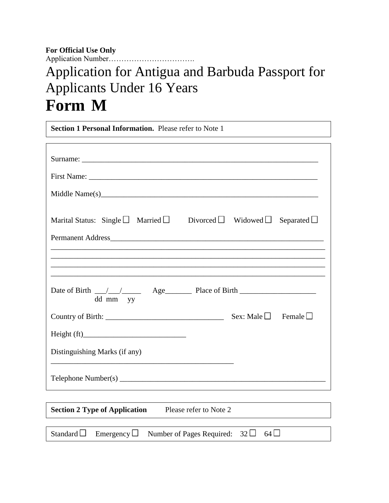**For Official Use Only** Application Number…………………………….

Application for Antigua and Barbuda Passport for Applicants Under 16 Years **Form M**

**Section 1 Personal Information.** Please refer to Note 1 Surname: \_\_\_\_\_\_\_\_\_\_\_\_\_\_\_\_\_\_\_\_\_\_\_\_\_\_\_\_\_\_\_\_\_\_\_\_\_\_\_\_\_\_\_\_\_\_\_\_\_\_\_\_\_\_\_\_\_\_\_\_\_\_ First Name: \_\_\_\_\_\_\_\_\_\_\_\_\_\_\_\_\_\_\_\_\_\_\_\_\_\_\_\_\_\_\_\_\_\_\_\_\_\_\_\_\_\_\_\_\_\_\_\_\_\_\_\_\_\_\_\_\_\_\_\_ Middle Name(s) Marital Status: Single  $\Box$  Married  $\Box$  Divorced  $\Box$  Widowed  $\Box$  Separated  $\Box$ Permanent Address \_\_\_\_\_\_\_\_\_\_\_\_\_\_\_\_\_\_\_\_\_\_\_\_\_\_\_\_\_\_\_\_\_\_\_\_\_\_\_\_\_\_\_\_\_\_\_\_\_\_\_\_\_\_\_\_\_\_\_\_\_\_\_\_\_\_\_\_\_\_\_\_ \_\_\_\_\_\_\_\_\_\_\_\_\_\_\_\_\_\_\_\_\_\_\_\_\_\_\_\_\_\_\_\_\_\_\_\_\_\_\_\_\_\_\_\_\_\_\_\_\_\_\_\_\_\_\_\_\_\_\_\_\_\_\_\_\_\_\_\_\_\_\_\_ \_\_\_\_\_\_\_\_\_\_\_\_\_\_\_\_\_\_\_\_\_\_\_\_\_\_\_\_\_\_\_\_\_\_\_\_\_\_\_\_\_\_\_\_\_\_\_\_\_\_\_\_\_\_\_\_\_\_\_\_\_\_\_\_\_\_\_\_\_\_\_\_ \_\_\_\_\_\_\_\_\_\_\_\_\_\_\_\_\_\_\_\_\_\_\_\_\_\_\_\_\_\_\_\_\_\_\_\_\_\_\_\_\_\_\_\_\_\_\_\_\_\_\_\_\_\_\_\_\_\_\_\_\_\_\_\_\_\_\_\_\_\_\_\_ Date of Birth  $\frac{1}{\sqrt{2}}$  Age Place of Birth  $\frac{1}{\sqrt{2}}$  dd mm yy Country of Birth: \_\_\_\_\_\_\_\_\_\_\_\_\_\_\_\_\_\_\_\_\_\_\_\_\_\_\_\_\_\_\_ Sex: Male Female  $Height (ft)$ Distinguishing Marks (if any)  $Telephone$   $Number(s)$ 

| <b>Section 2 Type of Application</b> |  | Please refer to Note 2                                                         |  |
|--------------------------------------|--|--------------------------------------------------------------------------------|--|
|                                      |  |                                                                                |  |
|                                      |  | Standard $\Box$ Emergency $\Box$ Number of Pages Required: $32 \Box$ 64 $\Box$ |  |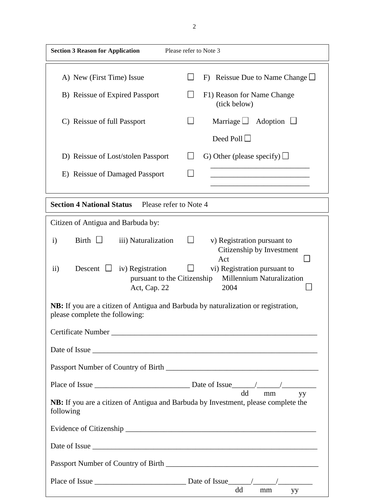| <b>Section 3 Reason for Application</b><br>Please refer to Note 3                                                    |                                                                                 |
|----------------------------------------------------------------------------------------------------------------------|---------------------------------------------------------------------------------|
| A) New (First Time) Issue                                                                                            | Reissue Due to Name Change $\Box$<br>F)                                         |
| B) Reissue of Expired Passport                                                                                       | F1) Reason for Name Change<br>(tick below)                                      |
| C) Reissue of full Passport                                                                                          | Marriage $\Box$ Adoption $\Box$                                                 |
|                                                                                                                      | Deed Poll $\Box$                                                                |
| D) Reissue of Lost/stolen Passport                                                                                   | G) Other (please specify) $\Box$                                                |
| E) Reissue of Damaged Passport                                                                                       |                                                                                 |
| <b>Section 4 National Status</b><br>Please refer to Note 4                                                           |                                                                                 |
| Citizen of Antigua and Barbuda by:                                                                                   |                                                                                 |
| Birth L<br>iii) Naturalization<br>$\mathbf{i}$                                                                       | v) Registration pursuant to<br>Citizenship by Investment                        |
| iv) Registration<br>Descent $\Box$<br>$\rm ii)$<br>pursuant to the Citizenship<br>Act, Cap. 22                       | Act<br>vi) Registration pursuant to<br><b>Millennium Naturalization</b><br>2004 |
| NB: If you are a citizen of Antigua and Barbuda by naturalization or registration,<br>please complete the following: |                                                                                 |
|                                                                                                                      |                                                                                 |
|                                                                                                                      |                                                                                 |
|                                                                                                                      |                                                                                 |
|                                                                                                                      |                                                                                 |
| NB: If you are a citizen of Antigua and Barbuda by Investment, please complete the<br>following                      | dd mm<br>yy                                                                     |
|                                                                                                                      |                                                                                 |
|                                                                                                                      | Date of Issue                                                                   |
|                                                                                                                      |                                                                                 |
|                                                                                                                      | dd<br>mm yy                                                                     |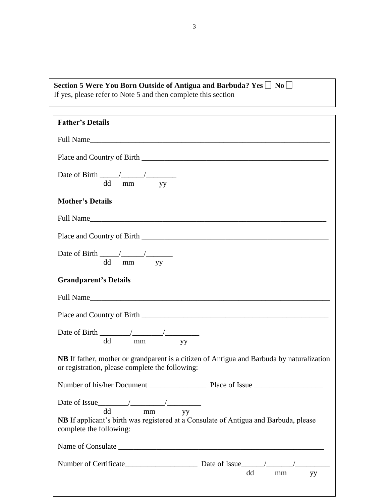**Section 5 Were You Born Outside of Antigua and Barbuda? Yes**  $\Box$  **No** If yes, please refer to Note 5 and then complete this section

| <b>Father's Details</b>                                                                                                                      |
|----------------------------------------------------------------------------------------------------------------------------------------------|
|                                                                                                                                              |
|                                                                                                                                              |
| Date of Birth $\frac{\sqrt{2}}{2}$                                                                                                           |
| dd mm yy                                                                                                                                     |
| <b>Mother's Details</b>                                                                                                                      |
| Full Name                                                                                                                                    |
|                                                                                                                                              |
|                                                                                                                                              |
| dd mm yy                                                                                                                                     |
| <b>Grandparent's Details</b>                                                                                                                 |
| Full Name                                                                                                                                    |
|                                                                                                                                              |
|                                                                                                                                              |
| dd mm<br>yy                                                                                                                                  |
| NB If father, mother or grandparent is a citizen of Antigua and Barbuda by naturalization<br>or registration, please complete the following: |
|                                                                                                                                              |
| Date of Issue /                                                                                                                              |
| dd<br>mm<br>yу<br>NB If applicant's birth was registered at a Consulate of Antigua and Barbuda, please<br>complete the following:            |
|                                                                                                                                              |
|                                                                                                                                              |
| dd<br>mm<br>yy                                                                                                                               |

3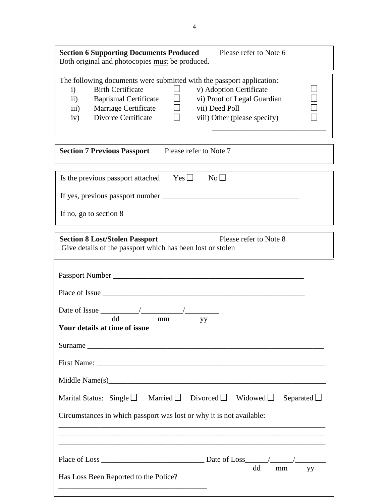| <b>Section 6 Supporting Documents Produced</b><br>Please refer to Note 6<br>Both original and photocopies must be produced.                                                                                                                                                                                                                                          |
|----------------------------------------------------------------------------------------------------------------------------------------------------------------------------------------------------------------------------------------------------------------------------------------------------------------------------------------------------------------------|
| The following documents were submitted with the passport application:<br><b>Birth Certificate</b><br>v) Adoption Certificate<br>$\mathbf{i}$<br>$\mathbf{ii}$<br>vi) Proof of Legal Guardian<br><b>Baptismal Certificate</b><br>$\Box$<br>vii) Deed Poll<br>$\overline{iii}$ )<br>Marriage Certificate<br>Divorce Certificate<br>viii) Other (please specify)<br>iv) |
| <b>Section 7 Previous Passport</b><br>Please refer to Note 7                                                                                                                                                                                                                                                                                                         |
| $Yes \Box$<br>No<br>Is the previous passport attached                                                                                                                                                                                                                                                                                                                |
| If no, go to section 8                                                                                                                                                                                                                                                                                                                                               |
| <b>Section 8 Lost/Stolen Passport</b><br>Please refer to Note 8<br>Give details of the passport which has been lost or stolen                                                                                                                                                                                                                                        |
|                                                                                                                                                                                                                                                                                                                                                                      |
|                                                                                                                                                                                                                                                                                                                                                                      |
| dd<br>mm<br>yy<br>Your details at time of issue                                                                                                                                                                                                                                                                                                                      |
|                                                                                                                                                                                                                                                                                                                                                                      |
|                                                                                                                                                                                                                                                                                                                                                                      |
|                                                                                                                                                                                                                                                                                                                                                                      |
| Marital Status: Single $\Box$ Married $\Box$ Divorced $\Box$ Widowed $\Box$ Separated $\Box$                                                                                                                                                                                                                                                                         |
| Circumstances in which passport was lost or why it is not available:                                                                                                                                                                                                                                                                                                 |
| dd<br>yy<br>mm                                                                                                                                                                                                                                                                                                                                                       |
| Has Loss Been Reported to the Police?                                                                                                                                                                                                                                                                                                                                |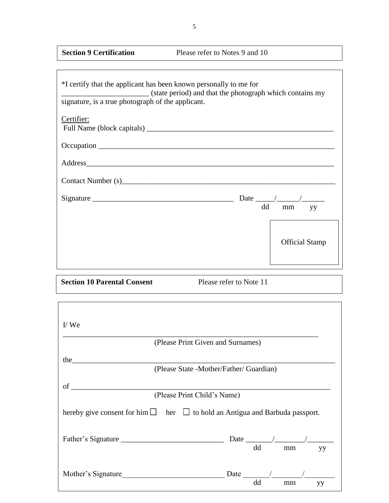**Section 9 Certification** Please refer to Notes 9 and 10

| *I certify that the applicant has been known personally to me for<br>(state period) and that the photograph which contains my<br>signature, is a true photograph of the applicant.                                            |                                                                                                                      |
|-------------------------------------------------------------------------------------------------------------------------------------------------------------------------------------------------------------------------------|----------------------------------------------------------------------------------------------------------------------|
| Certifier:                                                                                                                                                                                                                    |                                                                                                                      |
|                                                                                                                                                                                                                               |                                                                                                                      |
|                                                                                                                                                                                                                               |                                                                                                                      |
|                                                                                                                                                                                                                               |                                                                                                                      |
|                                                                                                                                                                                                                               |                                                                                                                      |
|                                                                                                                                                                                                                               | dd<br>mm<br>yy                                                                                                       |
|                                                                                                                                                                                                                               |                                                                                                                      |
|                                                                                                                                                                                                                               | <b>Official Stamp</b>                                                                                                |
|                                                                                                                                                                                                                               |                                                                                                                      |
| <b>Section 10 Parental Consent</b>                                                                                                                                                                                            | Please refer to Note 11<br>the control of the control of the control of the control of the control of the control of |
|                                                                                                                                                                                                                               |                                                                                                                      |
| $W$                                                                                                                                                                                                                           |                                                                                                                      |
| (Please Print Given and Surnames)                                                                                                                                                                                             |                                                                                                                      |
| the the state of the state of the state of the state of the state of the state of the state of the state of the state of the state of the state of the state of the state of the state of the state of the state of the state |                                                                                                                      |
| (Please State -Mother/Father/ Guardian)                                                                                                                                                                                       |                                                                                                                      |
|                                                                                                                                                                                                                               |                                                                                                                      |
| (Please Print Child's Name)                                                                                                                                                                                                   |                                                                                                                      |
| hereby give consent for him $\Box$ her $\Box$ to hold an Antigua and Barbuda passport.                                                                                                                                        |                                                                                                                      |
|                                                                                                                                                                                                                               |                                                                                                                      |
|                                                                                                                                                                                                                               | dd<br>mm<br>yу                                                                                                       |

Mother's Signature\_\_\_\_\_\_\_\_\_\_\_\_\_\_\_\_\_\_\_\_\_\_\_\_\_\_\_ Date \_\_\_\_\_\_\_/\_\_\_\_\_\_\_\_/\_\_\_\_\_\_\_\_

dd mm yy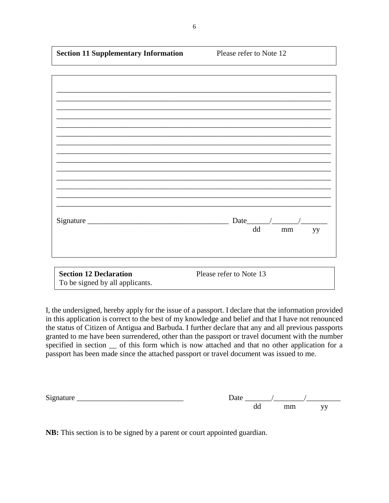| <b>Section 11 Supplementary Information</b>                      | Please refer to Note 12 |  |  |  |
|------------------------------------------------------------------|-------------------------|--|--|--|
|                                                                  |                         |  |  |  |
|                                                                  |                         |  |  |  |
|                                                                  |                         |  |  |  |
|                                                                  |                         |  |  |  |
|                                                                  |                         |  |  |  |
|                                                                  |                         |  |  |  |
|                                                                  |                         |  |  |  |
|                                                                  |                         |  |  |  |
|                                                                  | dd mm yy                |  |  |  |
|                                                                  |                         |  |  |  |
|                                                                  |                         |  |  |  |
| <b>Section 12 Declaration</b><br>To be signed by all applicants. | Please refer to Note 13 |  |  |  |

I, the undersigned, hereby apply for the issue of a passport. I declare that the information provided in this application is correct to the best of my knowledge and belief and that I have not renounced the status of Citizen of Antigua and Barbuda. I further declare that any and all previous passports granted to me have been surrendered, other than the passport or travel document with the number specified in section  $\_\_$  of this form which is now attached and that no other application for a passport has been made since the attached passport or travel document was issued to me.

| $\sim$<br>N. |   |   |
|--------------|---|---|
|              | . | ` |

**NB:** This section is to be signed by a parent or court appointed guardian.